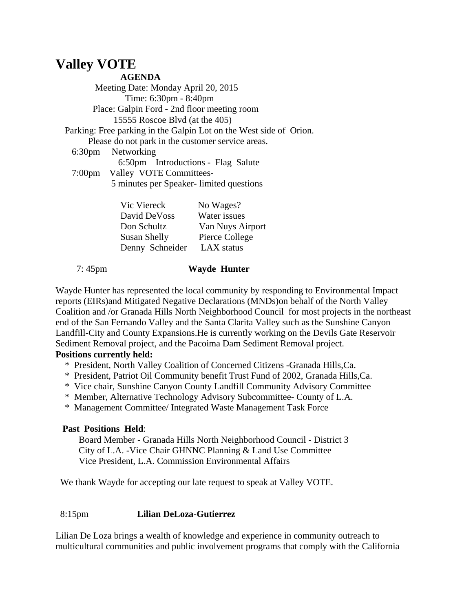# **Valley VOTE**

**AGENDA**

 Meeting Date: Monday April 20, 2015 Time: 6:30pm - 8:40pm Place: Galpin Ford - 2nd floor meeting room 15555 Roscoe Blvd (at the 405) Parking: Free parking in the Galpin Lot on the West side of Orion. Please do not park in the customer service areas. 6:30pm Networking 6:50pm Introductions - Flag Salute 7:00pm Valley VOTE Committees- 5 minutes per Speaker- limited questions

| Vic Viereck     | No Wages?        |
|-----------------|------------------|
| David DeVoss    | Water issues     |
| Don Schultz     | Van Nuys Airport |
| Susan Shelly    | Pierce College   |
| Denny Schneider | LAX status       |
|                 |                  |

#### 7: 45pm **Wayde Hunter**

Wayde Hunter has represented the local community by responding to Environmental Impact reports (EIRs)and Mitigated Negative Declarations (MNDs)on behalf of the North Valley Coalition and /or Granada Hills North Neighborhood Council for most projects in the northeast end of the San Fernando Valley and the Santa Clarita Valley such as the Sunshine Canyon Landfill-City and County Expansions.He is currently working on the Devils Gate Reservoir Sediment Removal project, and the Pacoima Dam Sediment Removal project.

## **Positions currently held:**

- \* President, North Valley Coalition of Concerned Citizens -Granada Hills,Ca.
- \* President, Patriot Oil Community benefit Trust Fund of 2002, Granada Hills,Ca.
- \* Vice chair, Sunshine Canyon County Landfill Community Advisory Committee
- \* Member, Alternative Technology Advisory Subcommittee- County of L.A.
- \* Management Committee/ Integrated Waste Management Task Force

## **Past Positions Held**:

 Board Member - Granada Hills North Neighborhood Council - District 3 City of L.A. -Vice Chair GHNNC Planning & Land Use Committee Vice President, L.A. Commission Environmental Affairs

We thank Wayde for accepting our late request to speak at Valley VOTE.

## 8:15pm **Lilian DeLoza-Gutierrez**

Lilian De Loza brings a wealth of knowledge and experience in community outreach to multicultural communities and public involvement programs that comply with the California